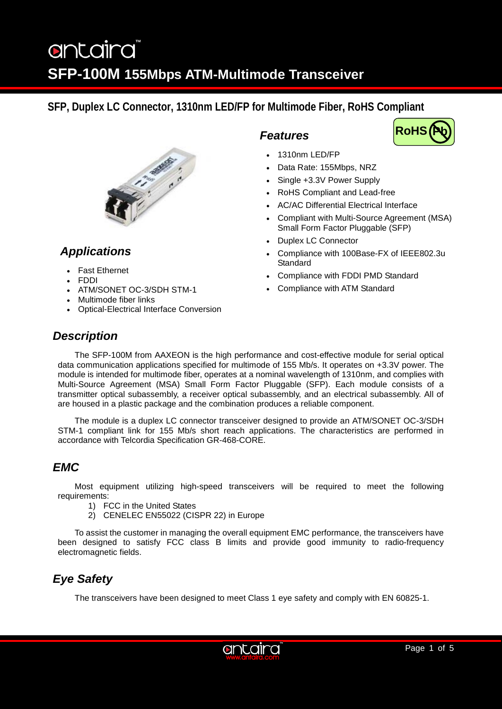# antaira **SFP-100M 155Mbps ATM-Multimode Transceiver**

## **SFP, Duplex LC Connector, 1310nm LED/FP for Multimode Fiber, RoHS Compliant**



## *Applications*

- Fast Ethernet
- FDDI
- ATM/SONET OC-3/SDH STM-1
- Multimode fiber links
- Optical-Electrical Interface Conversion

### *Features*



- 1310nm LED/FP
- Data Rate: 155Mbps, NRZ
- Single +3.3V Power Supply
- RoHS Compliant and Lead-free
- AC/AC Differential Electrical Interface
- Compliant with Multi-Source Agreement (MSA) Small Form Factor Pluggable (SFP)
- Duplex LC Connector
- Compliance with 100Base-FX of IEEE802.3u **Standard**
- Compliance with FDDI PMD Standard
- Compliance with ATM Standard

### *Description*

The SFP-100M from AAXEON is the high performance and cost-effective module for serial optical data communication applications specified for multimode of 155 Mb/s. It operates on +3.3V power. The module is intended for multimode fiber, operates at a nominal wavelength of 1310nm, and complies with Multi-Source Agreement (MSA) Small Form Factor Pluggable (SFP). Each module consists of a transmitter optical subassembly, a receiver optical subassembly, and an electrical subassembly. All of are housed in a plastic package and the combination produces a reliable component.

The module is a duplex LC connector transceiver designed to provide an ATM/SONET OC-3/SDH STM-1 compliant link for 155 Mb/s short reach applications. The characteristics are performed in accordance with Telcordia Specification GR-468-CORE.

### *EMC*

Most equipment utilizing high-speed transceivers will be required to meet the following requirements:

- 1) FCC in the United States
- 2) CENELEC EN55022 (CISPR 22) in Europe

To assist the customer in managing the overall equipment EMC performance, the transceivers have been designed to satisfy FCC class B limits and provide good immunity to radio-frequency electromagnetic fields.

## *Eye Safety*

The transceivers have been designed to meet Class 1 eye safety and comply with EN 60825-1.

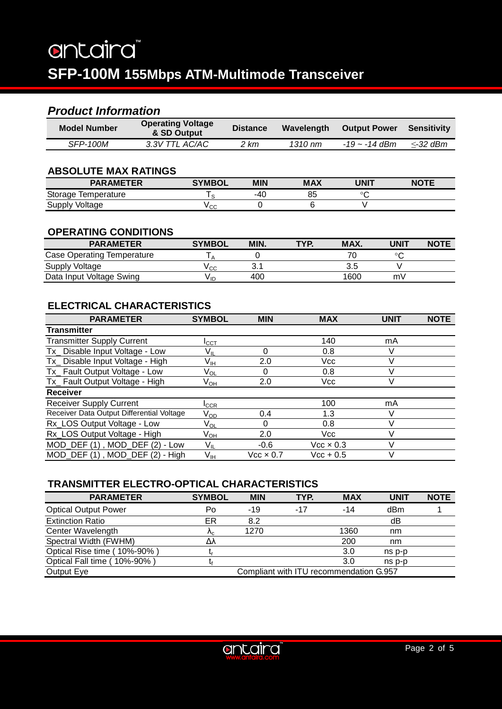## *Product Information*

| <b>Model Number</b> | <b>Operating Voltage</b><br>& SD Output | <b>Distance</b> | <b>Wavelength</b> | <b>Output Power</b> | <b>Sensitivity</b> |
|---------------------|-----------------------------------------|-----------------|-------------------|---------------------|--------------------|
| <b>SFP-100M</b>     | 3.3V TTL AC/AC                          | 2 km            | 1310 nm           | $-19 \sim -14$ dBm  | <-32 dBm           |

### **ABSOLUTE MAX RATINGS**

| <b>PARAMETER</b>       | <b>SYMBOI</b>  | <b>MIN</b> | <b>MAX</b> | UNIT    | NOTE |
|------------------------|----------------|------------|------------|---------|------|
| Storage<br>lemperature |                | -40        | 85         | $\circ$ |      |
| Supply<br>Voltage      | V rr<br>$\sim$ |            |            |         |      |

#### **OPERATING CONDITIONS**

| <b>PARAMETER</b>           | <b>SYMBOL</b> | MIN. | TYP. | MAX. | UNIT | <b>NOTE</b> |
|----------------------------|---------------|------|------|------|------|-------------|
| Case Operating Temperature |               |      |      |      | ഻    |             |
| Supply Voltage             | ′cc           | ◡. ៲ |      | 3.5  |      |             |
| Data Input Voltage Swing   | V IC          | 400  |      | 1600 | m٧   |             |

### **ELECTRICAL CHARACTERISTICS**

| <b>PARAMETER</b>                          | <b>SYMBOL</b>             | <b>MIN</b>           | <b>MAX</b>       | UNIT | <b>NOTE</b> |
|-------------------------------------------|---------------------------|----------------------|------------------|------|-------------|
| <b>Transmitter</b>                        |                           |                      |                  |      |             |
| <b>Transmitter Supply Current</b>         | Ісст                      |                      | 140              | mA   |             |
| Tx Disable Input Voltage - Low            | Vı∟                       | 0                    | 0.8              |      |             |
| Tx_ Disable Input Voltage - High          | Vıн                       | 2.0                  | Vcc              |      |             |
| Tx_Fault Output Voltage - Low             | Vol                       | 0                    | 0.8              |      |             |
| Tx_ Fault Output Voltage - High           | Ѵѹ                        | 2.0                  | Vcc              |      |             |
| <b>Receiver</b>                           |                           |                      |                  |      |             |
| <b>Receiver Supply Current</b>            | $\mathsf{I}_\mathsf{CCR}$ |                      | 100              | mA   |             |
| Receiver Data Output Differential Voltage | V <sub>OD</sub>           | 0.4                  | 1.3              |      |             |
| Rx LOS Output Voltage - Low               | Vol                       | 0                    | 0.8              |      |             |
| Rx_LOS Output Voltage - High              | Ѵѹ                        | 2.0                  | Vcc              |      |             |
| MOD_DEF (1), MOD_DEF (2) - Low            | $V_{IL}$                  | $-0.6$               | $Vec \times 0.3$ |      |             |
| MOD_DEF (1), MOD_DEF (2) - High           | V <sub>IH</sub>           | $\rm Vcc \times 0.7$ | $Vec + 0.5$      |      |             |

### **TRANSMITTER ELECTRO-OPTICAL CHARACTERISTICS**

| <b>PARAMETER</b>            | <b>SYMBOL</b> | <b>MIN</b> | TYP.                                    | <b>MAX</b> | <b>UNIT</b> | <b>NOTE</b> |
|-----------------------------|---------------|------------|-----------------------------------------|------------|-------------|-------------|
| <b>Optical Output Power</b> | Po            | $-19$      | $-17$                                   | $-14$      | dBm         |             |
| <b>Extinction Ratio</b>     | ER            | 8.2        |                                         |            | dB          |             |
| Center Wavelength           | $\Lambda_{c}$ | 1270       |                                         | 1360       | nm          |             |
| Spectral Width (FWHM)       | Δλ            |            |                                         | 200        | nm          |             |
| Optical Rise time (10%-90%) |               |            |                                         | 3.0        | ns p-p      |             |
| Optical Fall time (10%-90%) |               |            |                                         | 3.0        | ns p-p      |             |
| Output Eye                  |               |            | Compliant with ITU recommendation G.957 |            |             |             |

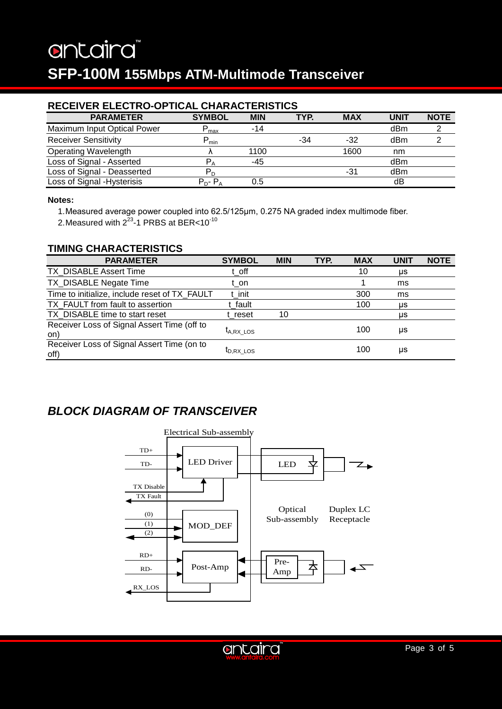# antaira **SFP-100M 155Mbps ATM-Multimode Transceiver**

### **RECEIVER ELECTRO-OPTICAL CHARACTERISTICS**

| <b>PARAMETER</b>            | <b>SYMBOL</b>           | <b>MIN</b> | TYP. | <b>MAX</b> | <b>UNIT</b> | <b>NOTE</b> |
|-----------------------------|-------------------------|------------|------|------------|-------------|-------------|
| Maximum Input Optical Power | $P_{\text{max}}$        | $-14$      |      |            | dBm         |             |
| <b>Receiver Sensitivity</b> | $P_{min}$               |            | -34  | $-32$      | dBm         |             |
| <b>Operating Wavelength</b> |                         | 1100       |      | 1600       | nm          |             |
| Loss of Signal - Asserted   | $P_A$                   | -45        |      |            | dBm         |             |
| Loss of Signal - Deasserted | $\mathsf{P}_\mathsf{D}$ |            |      | -31        | dBm         |             |
| Loss of Signal - Hysterisis | $P_{D}$ - $P_{A}$       | 0.5        |      |            | dB          |             |

#### **Notes:**

1.Measured average power coupled into 62.5/125μm, 0.275 NA graded index multimode fiber.

2. Measured with  $2^{23}$ -1 PRBS at BER<10<sup>-10</sup>

### **TIMING CHARACTERISTICS**

| <b>PARAMETER</b>                                   | <b>SYMBOL</b>         | <b>MIN</b> | TYP. | <b>MAX</b> | <b>UNIT</b> | <b>NOTE</b> |
|----------------------------------------------------|-----------------------|------------|------|------------|-------------|-------------|
| TX_DISABLE Assert Time                             | t off                 |            |      | 10         | μs          |             |
| TX_DISABLE Negate Time                             | t on                  |            |      |            | ms          |             |
| Time to initialize, include reset of TX FAULT      | t init                |            |      | 300        | ms          |             |
| TX FAULT from fault to assertion                   | t fault               |            |      | 100        | μs          |             |
| TX_DISABLE time to start reset                     | t reset               | 10         |      |            | μs          |             |
| Receiver Loss of Signal Assert Time (off to<br>on) | $t_{A,RX}$ LOS        |            |      | 100        | μs          |             |
| Receiver Loss of Signal Assert Time (on to<br>off) | I <sub>D.RX LOS</sub> |            |      | 100        | μs          |             |

## *BLOCK DIAGRAM OF TRANSCEIVER*



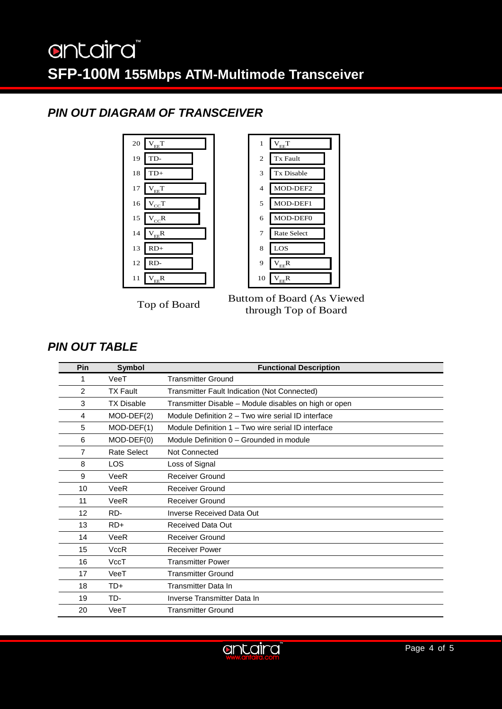## antaira **SFP-100M 155Mbps ATM-Multimode Transceiver**

## *PIN OUT DIAGRAM OF TRANSCEIVER*



Top of Board Buttom of Board (As Viewed through Top of Board

### *PIN OUT TABLE*

| Pin               | <b>Symbol</b>     | <b>Functional Description</b>                         |
|-------------------|-------------------|-------------------------------------------------------|
| 1                 | VeeT              | <b>Transmitter Ground</b>                             |
| $\overline{2}$    | <b>TX Fault</b>   | Transmitter Fault Indication (Not Connected)          |
| 3                 | <b>TX Disable</b> | Transmitter Disable – Module disables on high or open |
| 4                 | $MOD-DEF(2)$      | Module Definition 2 - Two wire serial ID interface    |
| 5                 | MOD-DEF(1)        | Module Definition 1 – Two wire serial ID interface    |
| 6                 | $MOD-DEF(0)$      | Module Definition 0 – Grounded in module              |
| 7                 | Rate Select       | Not Connected                                         |
| 8                 | <b>LOS</b>        | Loss of Signal                                        |
| 9                 | VeeR              | <b>Receiver Ground</b>                                |
| 10                | VeeR              | <b>Receiver Ground</b>                                |
| 11                | VeeR              | <b>Receiver Ground</b>                                |
| $12 \overline{ }$ | RD-               | Inverse Received Data Out                             |
| 13                | $RD+$             | Received Data Out                                     |
| 14                | VeeR              | <b>Receiver Ground</b>                                |
| 15                | <b>VccR</b>       | <b>Receiver Power</b>                                 |
| 16                | VccT              | <b>Transmitter Power</b>                              |
| 17                | VeeT              | <b>Transmitter Ground</b>                             |
| 18                | $TD+$             | <b>Transmitter Data In</b>                            |
| 19                | TD-               | Inverse Transmitter Data In                           |
| 20                | VeeT              | <b>Transmitter Ground</b>                             |